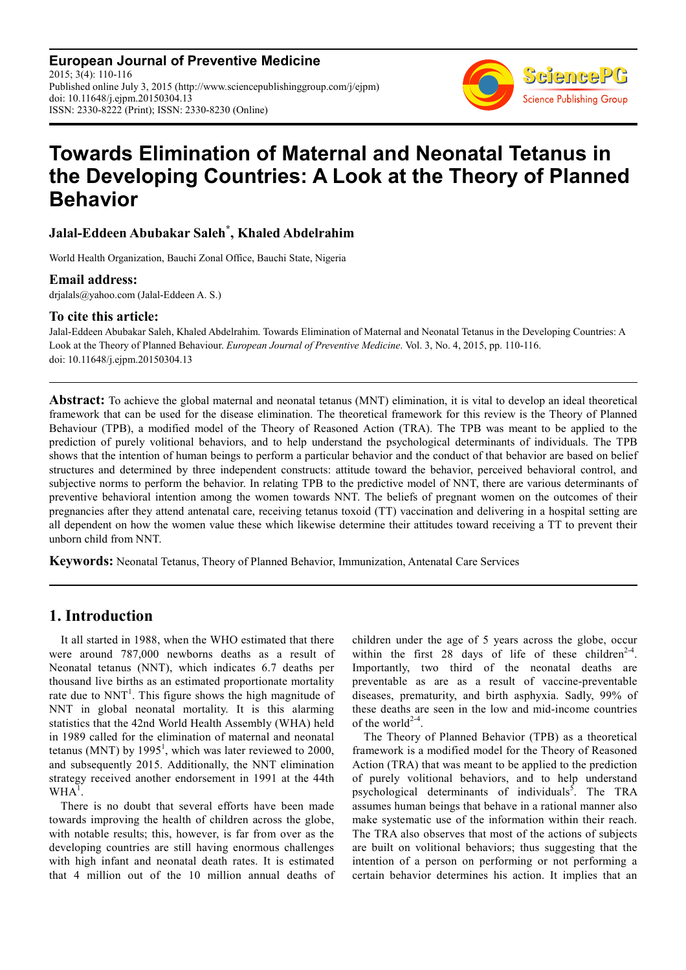**European Journal of Preventive Medicine** 2015; 3(4): 110-116 Published online July 3, 2015 (http://www.sciencepublishinggroup.com/j/ejpm) doi: 10.11648/j.ejpm.20150304.13 ISSN: 2330-8222 (Print); ISSN: 2330-8230 (Online)



# **Towards Elimination of Maternal and Neonatal Tetanus in the Developing Countries: A Look at the Theory of Planned Behavior**

# **Jalal-Eddeen Abubakar Saleh\* , Khaled Abdelrahim**

World Health Organization, Bauchi Zonal Office, Bauchi State, Nigeria

#### **Email address:**

drjalals@yahoo.com (Jalal-Eddeen A. S.)

#### **To cite this article:**

Jalal-Eddeen Abubakar Saleh, Khaled Abdelrahim. Towards Elimination of Maternal and Neonatal Tetanus in the Developing Countries: A Look at the Theory of Planned Behaviour. *European Journal of Preventive Medicine*. Vol. 3, No. 4, 2015, pp. 110-116. doi: 10.11648/j.ejpm.20150304.13

**Abstract:** To achieve the global maternal and neonatal tetanus (MNT) elimination, it is vital to develop an ideal theoretical framework that can be used for the disease elimination. The theoretical framework for this review is the Theory of Planned Behaviour (TPB), a modified model of the Theory of Reasoned Action (TRA). The TPB was meant to be applied to the prediction of purely volitional behaviors, and to help understand the psychological determinants of individuals. The TPB shows that the intention of human beings to perform a particular behavior and the conduct of that behavior are based on belief structures and determined by three independent constructs: attitude toward the behavior, perceived behavioral control, and subjective norms to perform the behavior. In relating TPB to the predictive model of NNT, there are various determinants of preventive behavioral intention among the women towards NNT. The beliefs of pregnant women on the outcomes of their pregnancies after they attend antenatal care, receiving tetanus toxoid (TT) vaccination and delivering in a hospital setting are all dependent on how the women value these which likewise determine their attitudes toward receiving a TT to prevent their unborn child from NNT.

**Keywords:** Neonatal Tetanus, Theory of Planned Behavior, Immunization, Antenatal Care Services

### **1. Introduction**

It all started in 1988, when the WHO estimated that there were around 787,000 newborns deaths as a result of Neonatal tetanus (NNT), which indicates 6.7 deaths per thousand live births as an estimated proportionate mortality rate due to  $NNT<sup>1</sup>$ . This figure shows the high magnitude of NNT in global neonatal mortality. It is this alarming statistics that the 42nd World Health Assembly (WHA) held in 1989 called for the elimination of maternal and neonatal tetanus (MNT) by  $1995^1$ , which was later reviewed to 2000, and subsequently 2015. Additionally, the NNT elimination strategy received another endorsement in 1991 at the 44th  $WHA^1$ .

There is no doubt that several efforts have been made towards improving the health of children across the globe, with notable results; this, however, is far from over as the developing countries are still having enormous challenges with high infant and neonatal death rates. It is estimated that 4 million out of the 10 million annual deaths of children under the age of 5 years across the globe, occur within the first 28 days of life of these children<sup>2-4</sup>. Importantly, two third of the neonatal deaths are preventable as are as a result of vaccine-preventable diseases, prematurity, and birth asphyxia. Sadly, 99% of these deaths are seen in the low and mid-income countries of the world<sup>2-4</sup>.

The Theory of Planned Behavior (TPB) as a theoretical framework is a modified model for the Theory of Reasoned Action (TRA) that was meant to be applied to the prediction of purely volitional behaviors, and to help understand psychological determinants of individuals<sup>5</sup>. The TRA assumes human beings that behave in a rational manner also make systematic use of the information within their reach. The TRA also observes that most of the actions of subjects are built on volitional behaviors; thus suggesting that the intention of a person on performing or not performing a certain behavior determines his action. It implies that an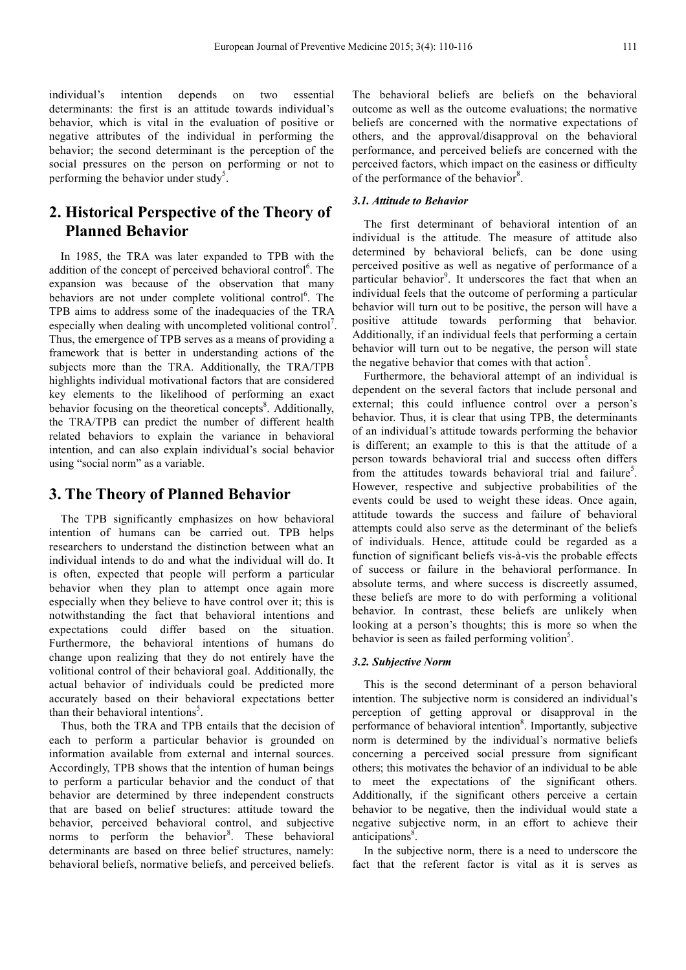individual's intention depends on two essential determinants: the first is an attitude towards individual's behavior, which is vital in the evaluation of positive or negative attributes of the individual in performing the behavior; the second determinant is the perception of the social pressures on the person on performing or not to performing the behavior under study<sup>5</sup>.

# **2. Historical Perspective of the Theory of Planned Behavior**

In 1985, the TRA was later expanded to TPB with the addition of the concept of perceived behavioral control<sup>6</sup>. The expansion was because of the observation that many behaviors are not under complete volitional control<sup>6</sup>. The TPB aims to address some of the inadequacies of the TRA especially when dealing with uncompleted volitional control<sup>7</sup>. Thus, the emergence of TPB serves as a means of providing a framework that is better in understanding actions of the subjects more than the TRA. Additionally, the TRA/TPB highlights individual motivational factors that are considered key elements to the likelihood of performing an exact behavior focusing on the theoretical concepts<sup>8</sup>. Additionally, the TRA/TPB can predict the number of different health related behaviors to explain the variance in behavioral intention, and can also explain individual's social behavior using "social norm" as a variable.

### **3. The Theory of Planned Behavior**

The TPB significantly emphasizes on how behavioral intention of humans can be carried out. TPB helps researchers to understand the distinction between what an individual intends to do and what the individual will do. It is often, expected that people will perform a particular behavior when they plan to attempt once again more especially when they believe to have control over it; this is notwithstanding the fact that behavioral intentions and expectations could differ based on the situation. Furthermore, the behavioral intentions of humans do change upon realizing that they do not entirely have the volitional control of their behavioral goal. Additionally, the actual behavior of individuals could be predicted more accurately based on their behavioral expectations better than their behavioral intentions<sup>5</sup>.

Thus, both the TRA and TPB entails that the decision of each to perform a particular behavior is grounded on information available from external and internal sources. Accordingly, TPB shows that the intention of human beings to perform a particular behavior and the conduct of that behavior are determined by three independent constructs that are based on belief structures: attitude toward the behavior, perceived behavioral control, and subjective norms to perform the behavior<sup>8</sup>. These behavioral determinants are based on three belief structures, namely: behavioral beliefs, normative beliefs, and perceived beliefs.

The behavioral beliefs are beliefs on the behavioral outcome as well as the outcome evaluations; the normative beliefs are concerned with the normative expectations of others, and the approval/disapproval on the behavioral performance, and perceived beliefs are concerned with the perceived factors, which impact on the easiness or difficulty of the performance of the behavior<sup>8</sup>.

### *3.1. Attitude to Behavior*

The first determinant of behavioral intention of an individual is the attitude. The measure of attitude also determined by behavioral beliefs, can be done using perceived positive as well as negative of performance of a particular behavior<sup>9</sup>. It underscores the fact that when an individual feels that the outcome of performing a particular behavior will turn out to be positive, the person will have a positive attitude towards performing that behavior. Additionally, if an individual feels that performing a certain behavior will turn out to be negative, the person will state the negative behavior that comes with that action<sup>5</sup>.

Furthermore, the behavioral attempt of an individual is dependent on the several factors that include personal and external; this could influence control over a person's behavior. Thus, it is clear that using TPB, the determinants of an individual's attitude towards performing the behavior is different; an example to this is that the attitude of a person towards behavioral trial and success often differs from the attitudes towards behavioral trial and failure<sup>5</sup>. However, respective and subjective probabilities of the events could be used to weight these ideas. Once again, attitude towards the success and failure of behavioral attempts could also serve as the determinant of the beliefs of individuals. Hence, attitude could be regarded as a function of significant beliefs vis-à-vis the probable effects of success or failure in the behavioral performance. In absolute terms, and where success is discreetly assumed, these beliefs are more to do with performing a volitional behavior. In contrast, these beliefs are unlikely when looking at a person's thoughts; this is more so when the behavior is seen as failed performing volition<sup>5</sup>.

#### *3.2. Subjective Norm*

This is the second determinant of a person behavioral intention. The subjective norm is considered an individual's perception of getting approval or disapproval in the performance of behavioral intention<sup>8</sup>. Importantly, subjective norm is determined by the individual's normative beliefs concerning a perceived social pressure from significant others; this motivates the behavior of an individual to be able to meet the expectations of the significant others. Additionally, if the significant others perceive a certain behavior to be negative, then the individual would state a negative subjective norm, in an effort to achieve their anticipations<sup>8</sup>.

In the subjective norm, there is a need to underscore the fact that the referent factor is vital as it is serves as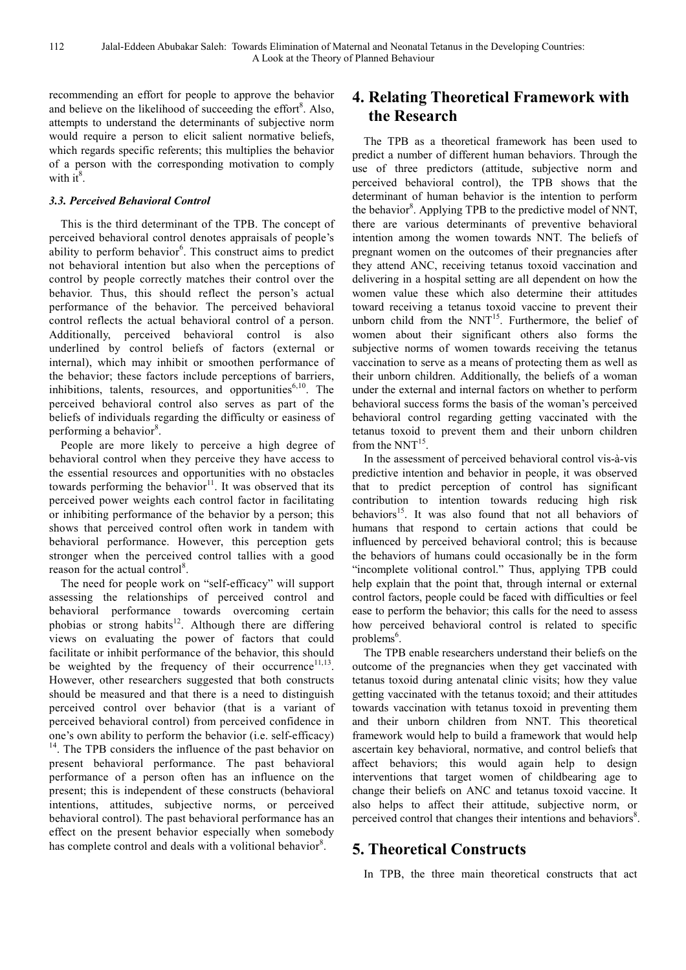recommending an effort for people to approve the behavior and believe on the likelihood of succeeding the effort<sup>8</sup>. Also, attempts to understand the determinants of subjective norm would require a person to elicit salient normative beliefs. which regards specific referents; this multiplies the behavior of a person with the corresponding motivation to comply with it $8$ .

#### *3.3. Perceived Behavioral Control*

This is the third determinant of the TPB. The concept of perceived behavioral control denotes appraisals of people's ability to perform behavior<sup>6</sup>. This construct aims to predict not behavioral intention but also when the perceptions of control by people correctly matches their control over the behavior. Thus, this should reflect the person's actual performance of the behavior. The perceived behavioral control reflects the actual behavioral control of a person. Additionally, perceived behavioral control is also underlined by control beliefs of factors (external or internal), which may inhibit or smoothen performance of the behavior; these factors include perceptions of barriers, inhibitions, talents, resources, and opportunities $6,10$ . The perceived behavioral control also serves as part of the beliefs of individuals regarding the difficulty or easiness of performing a behavior<sup>8</sup>.

People are more likely to perceive a high degree of behavioral control when they perceive they have access to the essential resources and opportunities with no obstacles towards performing the behavior $11$ . It was observed that its perceived power weights each control factor in facilitating or inhibiting performance of the behavior by a person; this shows that perceived control often work in tandem with behavioral performance. However, this perception gets stronger when the perceived control tallies with a good reason for the actual control<sup>8</sup>.

The need for people work on "self-efficacy" will support assessing the relationships of perceived control and behavioral performance towards overcoming certain phobias or strong habits<sup>12</sup>. Although there are differing views on evaluating the power of factors that could facilitate or inhibit performance of the behavior, this should be weighted by the frequency of their occurrence<sup>11,13</sup>. However, other researchers suggested that both constructs should be measured and that there is a need to distinguish perceived control over behavior (that is a variant of perceived behavioral control) from perceived confidence in one's own ability to perform the behavior (i.e. self-efficacy) <sup>14</sup>. The TPB considers the influence of the past behavior on present behavioral performance. The past behavioral performance of a person often has an influence on the present; this is independent of these constructs (behavioral intentions, attitudes, subjective norms, or perceived behavioral control). The past behavioral performance has an effect on the present behavior especially when somebody has complete control and deals with a volitional behavior<sup>8</sup>.

### **4. Relating Theoretical Framework with the Research**

The TPB as a theoretical framework has been used to predict a number of different human behaviors. Through the use of three predictors (attitude, subjective norm and perceived behavioral control), the TPB shows that the determinant of human behavior is the intention to perform the behavior $8$ . Applying TPB to the predictive model of NNT, there are various determinants of preventive behavioral intention among the women towards NNT. The beliefs of pregnant women on the outcomes of their pregnancies after they attend ANC, receiving tetanus toxoid vaccination and delivering in a hospital setting are all dependent on how the women value these which also determine their attitudes toward receiving a tetanus toxoid vaccine to prevent their unborn child from the  $NNT^{15}$ . Furthermore, the belief of women about their significant others also forms the subjective norms of women towards receiving the tetanus vaccination to serve as a means of protecting them as well as their unborn children. Additionally, the beliefs of a woman under the external and internal factors on whether to perform behavioral success forms the basis of the woman's perceived behavioral control regarding getting vaccinated with the tetanus toxoid to prevent them and their unborn children from the  $NNT^{15}$ .

In the assessment of perceived behavioral control vis-à-vis predictive intention and behavior in people, it was observed that to predict perception of control has significant contribution to intention towards reducing high risk behaviors<sup>15</sup>. It was also found that not all behaviors of humans that respond to certain actions that could be influenced by perceived behavioral control; this is because the behaviors of humans could occasionally be in the form "incomplete volitional control." Thus, applying TPB could help explain that the point that, through internal or external control factors, people could be faced with difficulties or feel ease to perform the behavior; this calls for the need to assess how perceived behavioral control is related to specific problems<sup>6</sup>.

The TPB enable researchers understand their beliefs on the outcome of the pregnancies when they get vaccinated with tetanus toxoid during antenatal clinic visits; how they value getting vaccinated with the tetanus toxoid; and their attitudes towards vaccination with tetanus toxoid in preventing them and their unborn children from NNT. This theoretical framework would help to build a framework that would help ascertain key behavioral, normative, and control beliefs that affect behaviors; this would again help to design interventions that target women of childbearing age to change their beliefs on ANC and tetanus toxoid vaccine. It also helps to affect their attitude, subjective norm, or perceived control that changes their intentions and behaviors<sup>8</sup>.

### **5. Theoretical Constructs**

In TPB, the three main theoretical constructs that act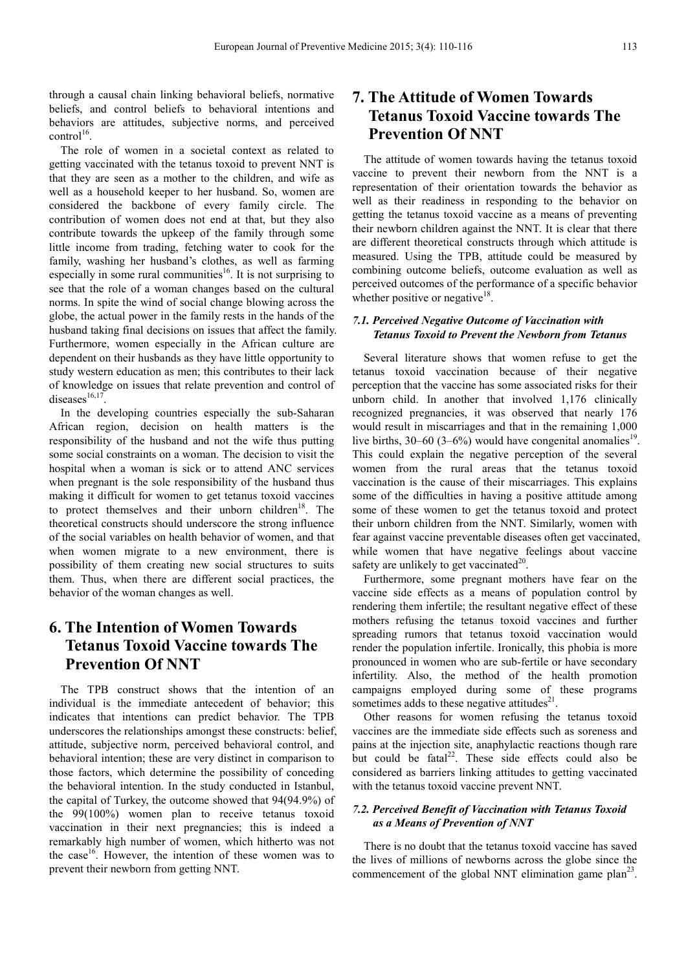through a causal chain linking behavioral beliefs, normative beliefs, and control beliefs to behavioral intentions and behaviors are attitudes, subjective norms, and perceived  $control<sup>16</sup>$ .

The role of women in a societal context as related to getting vaccinated with the tetanus toxoid to prevent NNT is that they are seen as a mother to the children, and wife as well as a household keeper to her husband. So, women are considered the backbone of every family circle. The contribution of women does not end at that, but they also contribute towards the upkeep of the family through some little income from trading, fetching water to cook for the family, washing her husband's clothes, as well as farming especially in some rural communities<sup>16</sup>. It is not surprising to see that the role of a woman changes based on the cultural norms. In spite the wind of social change blowing across the globe, the actual power in the family rests in the hands of the husband taking final decisions on issues that affect the family. Furthermore, women especially in the African culture are dependent on their husbands as they have little opportunity to study western education as men; this contributes to their lack of knowledge on issues that relate prevention and control of diseases $^{16,17}$ .

In the developing countries especially the sub-Saharan African region, decision on health matters is the responsibility of the husband and not the wife thus putting some social constraints on a woman. The decision to visit the hospital when a woman is sick or to attend ANC services when pregnant is the sole responsibility of the husband thus making it difficult for women to get tetanus toxoid vaccines to protect themselves and their unborn children $18$ . The theoretical constructs should underscore the strong influence of the social variables on health behavior of women, and that when women migrate to a new environment, there is possibility of them creating new social structures to suits them. Thus, when there are different social practices, the behavior of the woman changes as well.

# **6. The Intention of Women Towards Tetanus Toxoid Vaccine towards The Prevention Of NNT**

The TPB construct shows that the intention of an individual is the immediate antecedent of behavior; this indicates that intentions can predict behavior. The TPB underscores the relationships amongst these constructs: belief, attitude, subjective norm, perceived behavioral control, and behavioral intention; these are very distinct in comparison to those factors, which determine the possibility of conceding the behavioral intention. In the study conducted in Istanbul, the capital of Turkey, the outcome showed that 94(94.9%) of the 99(100%) women plan to receive tetanus toxoid vaccination in their next pregnancies; this is indeed a remarkably high number of women, which hitherto was not the case<sup>16</sup>. However, the intention of these women was to prevent their newborn from getting NNT.

# **7. The Attitude of Women Towards Tetanus Toxoid Vaccine towards The Prevention Of NNT**

The attitude of women towards having the tetanus toxoid vaccine to prevent their newborn from the NNT is a representation of their orientation towards the behavior as well as their readiness in responding to the behavior on getting the tetanus toxoid vaccine as a means of preventing their newborn children against the NNT. It is clear that there are different theoretical constructs through which attitude is measured. Using the TPB, attitude could be measured by combining outcome beliefs, outcome evaluation as well as perceived outcomes of the performance of a specific behavior whether positive or negative $18$ .

### *7.1. Perceived Negative Outcome of Vaccination with Tetanus Toxoid to Prevent the Newborn from Tetanus*

Several literature shows that women refuse to get the tetanus toxoid vaccination because of their negative perception that the vaccine has some associated risks for their unborn child. In another that involved 1,176 clinically recognized pregnancies, it was observed that nearly 176 would result in miscarriages and that in the remaining 1,000 live births,  $30-60$  (3–6%) would have congenital anomalies<sup>19</sup> . This could explain the negative perception of the several women from the rural areas that the tetanus toxoid vaccination is the cause of their miscarriages. This explains some of the difficulties in having a positive attitude among some of these women to get the tetanus toxoid and protect their unborn children from the NNT. Similarly, women with fear against vaccine preventable diseases often get vaccinated, while women that have negative feelings about vaccine safety are unlikely to get vaccinated $2<sup>0</sup>$ .

Furthermore, some pregnant mothers have fear on the vaccine side effects as a means of population control by rendering them infertile; the resultant negative effect of these mothers refusing the tetanus toxoid vaccines and further spreading rumors that tetanus toxoid vaccination would render the population infertile. Ironically, this phobia is more pronounced in women who are sub-fertile or have secondary infertility. Also, the method of the health promotion campaigns employed during some of these programs sometimes adds to these negative attitudes $2<sup>1</sup>$ .

Other reasons for women refusing the tetanus toxoid vaccines are the immediate side effects such as soreness and pains at the injection site, anaphylactic reactions though rare but could be fatal $^{22}$ . These side effects could also be considered as barriers linking attitudes to getting vaccinated with the tetanus toxoid vaccine prevent NNT.

#### *7.2. Perceived Benefit of Vaccination with Tetanus Toxoid as a Means of Prevention of NNT*

There is no doubt that the tetanus toxoid vaccine has saved the lives of millions of newborns across the globe since the commencement of the global NNT elimination game  $plan^{23}$ .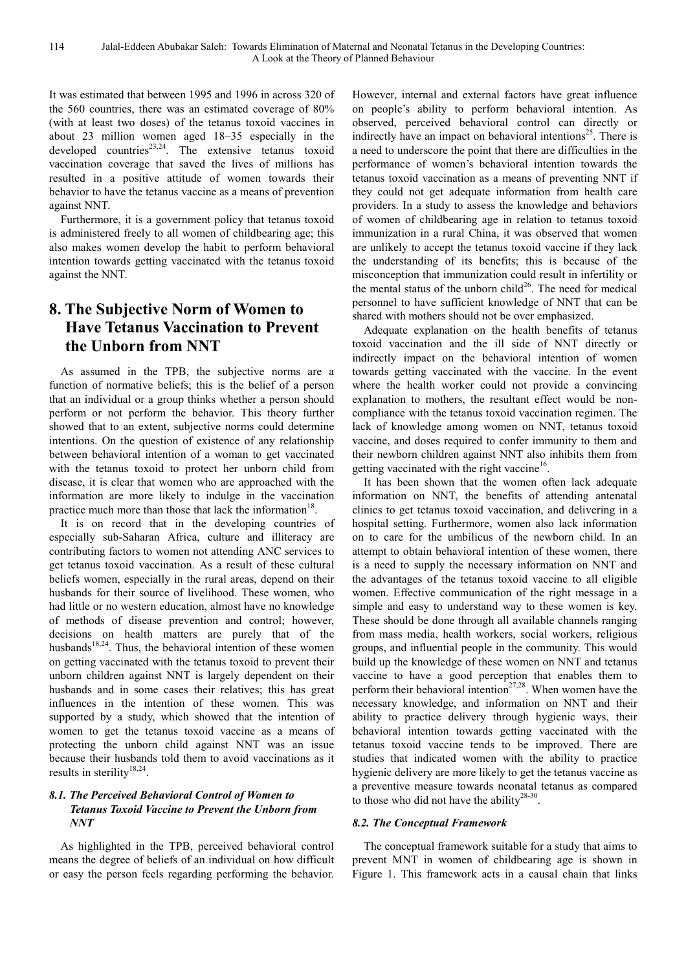It was estimated that between 1995 and 1996 in across 320 of the 560 countries, there was an estimated coverage of 80% (with at least two doses) of the tetanus toxoid vaccines in about 23 million women aged 18–35 especially in the developed countries<sup>23,24</sup>. The extensive tetanus toxoid vaccination coverage that saved the lives of millions has resulted in a positive attitude of women towards their behavior to have the tetanus vaccine as a means of prevention against NNT.

Furthermore, it is a government policy that tetanus toxoid is administered freely to all women of childbearing age; this also makes women develop the habit to perform behavioral intention towards getting vaccinated with the tetanus toxoid against the NNT.

# **8. The Subjective Norm of Women to Have Tetanus Vaccination to Prevent the Unborn from NNT**

As assumed in the TPB, the subjective norms are a function of normative beliefs; this is the belief of a person that an individual or a group thinks whether a person should perform or not perform the behavior. This theory further showed that to an extent, subjective norms could determine intentions. On the question of existence of any relationship between behavioral intention of a woman to get vaccinated with the tetanus toxoid to protect her unborn child from disease, it is clear that women who are approached with the information are more likely to indulge in the vaccination practice much more than those that lack the information<sup>18</sup>.

It is on record that in the developing countries of especially sub-Saharan Africa, culture and illiteracy are contributing factors to women not attending ANC services to get tetanus toxoid vaccination. As a result of these cultural beliefs women, especially in the rural areas, depend on their husbands for their source of livelihood. These women, who had little or no western education, almost have no knowledge of methods of disease prevention and control; however, decisions on health matters are purely that of the husbands<sup>18,24</sup>. Thus, the behavioral intention of these women on getting vaccinated with the tetanus toxoid to prevent their unborn children against NNT is largely dependent on their husbands and in some cases their relatives; this has great influences in the intention of these women. This was supported by a study, which showed that the intention of women to get the tetanus toxoid vaccine as a means of protecting the unborn child against NNT was an issue because their husbands told them to avoid vaccinations as it results in sterility<sup>18,24</sup>.

### *8.1. The Perceived Behavioral Control of Women to Tetanus Toxoid Vaccine to Prevent the Unborn from NNT*

As highlighted in the TPB, perceived behavioral control means the degree of beliefs of an individual on how difficult or easy the person feels regarding performing the behavior.

However, internal and external factors have great influence on people's ability to perform behavioral intention. As observed, perceived behavioral control can directly or indirectly have an impact on behavioral intentions<sup>25</sup>. There is a need to underscore the point that there are difficulties in the performance of women's behavioral intention towards the tetanus toxoid vaccination as a means of preventing NNT if they could not get adequate information from health care providers. In a study to assess the knowledge and behaviors of women of childbearing age in relation to tetanus toxoid immunization in a rural China, it was observed that women are unlikely to accept the tetanus toxoid vaccine if they lack the understanding of its benefits; this is because of the misconception that immunization could result in infertility or the mental status of the unborn child<sup>26</sup>. The need for medical personnel to have sufficient knowledge of NNT that can be shared with mothers should not be over emphasized.

Adequate explanation on the health benefits of tetanus toxoid vaccination and the ill side of NNT directly or indirectly impact on the behavioral intention of women towards getting vaccinated with the vaccine. In the event where the health worker could not provide a convincing explanation to mothers, the resultant effect would be noncompliance with the tetanus toxoid vaccination regimen. The lack of knowledge among women on NNT, tetanus toxoid vaccine, and doses required to confer immunity to them and their newborn children against NNT also inhibits them from getting vaccinated with the right vaccine<sup>16</sup>.

It has been shown that the women often lack adequate information on NNT, the benefits of attending antenatal clinics to get tetanus toxoid vaccination, and delivering in a hospital setting. Furthermore, women also lack information on to care for the umbilicus of the newborn child. In an attempt to obtain behavioral intention of these women, there is a need to supply the necessary information on NNT and the advantages of the tetanus toxoid vaccine to all eligible women. Effective communication of the right message in a simple and easy to understand way to these women is key. These should be done through all available channels ranging from mass media, health workers, social workers, religious groups, and influential people in the community. This would build up the knowledge of these women on NNT and tetanus vaccine to have a good perception that enables them to perform their behavioral intention<sup>27,28</sup>. When women have the necessary knowledge, and information on NNT and their ability to practice delivery through hygienic ways, their behavioral intention towards getting vaccinated with the tetanus toxoid vaccine tends to be improved. There are studies that indicated women with the ability to practice hygienic delivery are more likely to get the tetanus vaccine as a preventive measure towards neonatal tetanus as compared to those who did not have the ability<sup>28-30</sup>.

#### *8.2. The Conceptual Framework*

The conceptual framework suitable for a study that aims to prevent MNT in women of childbearing age is shown in Figure 1. This framework acts in a causal chain that links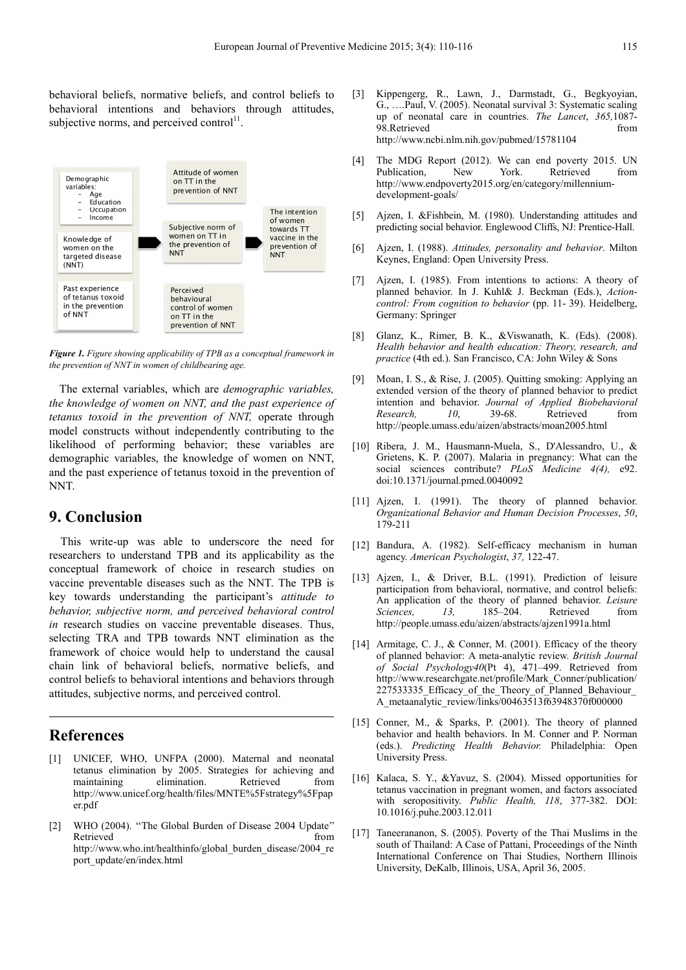behavioral beliefs, normative beliefs, and control beliefs to behavioral intentions and behaviors through attitudes, subjective norms, and perceived control $11$ .



*Figure 1. Figure showing applicability of TPB as a conceptual framework in the prevention of NNT in women of childbearing age.*

The external variables, which are *demographic variables, the knowledge of women on NNT, and the past experience of tetanus toxoid in the prevention of NNT,* operate through model constructs without independently contributing to the likelihood of performing behavior; these variables are demographic variables, the knowledge of women on NNT, and the past experience of tetanus toxoid in the prevention of NNT.

### **9. Conclusion**

This write-up was able to underscore the need for researchers to understand TPB and its applicability as the conceptual framework of choice in research studies on vaccine preventable diseases such as the NNT. The TPB is key towards understanding the participant's *attitude to behavior, subjective norm, and perceived behavioral control in* research studies on vaccine preventable diseases. Thus, selecting TRA and TPB towards NNT elimination as the framework of choice would help to understand the causal chain link of behavioral beliefs, normative beliefs, and control beliefs to behavioral intentions and behaviors through attitudes, subjective norms, and perceived control.

### **References**

- UNICEF, WHO, UNFPA (2000). Maternal and neonatal tetanus elimination by 2005. Strategies for achieving and maintaining elimination. Retrieved from http://www.unicef.org/health/files/MNTE%5Fstrategy%5Fpap er.pdf
- [2] WHO (2004). "The Global Burden of Disease 2004 Update" Retrieved from the state of  $\sim$ http://www.who.int/healthinfo/global\_burden\_disease/2004\_re port\_update/en/index.html
- [3] Kippengerg, R., Lawn, J., Darmstadt, G., Begkyoyian, G., ….Paul, V. (2005). Neonatal survival 3: Systematic scaling up of neonatal care in countries. *The Lancet*, *365,*1087- 98.Retrieved from the state of  $\sim$ http://www.ncbi.nlm.nih.gov/pubmed/15781104
- [4] The MDG Report (2012). We can end poverty 2015. UN Publication, New York. Retrieved from http://www.endpoverty2015.org/en/category/millenniumdevelopment-goals/
- [5] Ajzen, I. &Fishbein, M. (1980). Understanding attitudes and predicting social behavior. Englewood Cliffs, NJ: Prentice-Hall.
- [6] Ajzen, I. (1988). *Attitudes, personality and behavior*. Milton Keynes, England: Open University Press.
- [7] Ajzen, I. (1985). From intentions to actions: A theory of planned behavior. In J. Kuhl& J. Beckman (Eds.), *Actioncontrol: From cognition to behavior* (pp. 11- 39). Heidelberg, Germany: Springer
- [8] Glanz, K., Rimer, B. K., &Viswanath, K. (Eds). (2008). *Health behavior and health education: Theory, research, and practice* (4th ed.). San Francisco, CA: John Wiley & Sons
- [9] Moan, I. S., & Rise, J. (2005). Quitting smoking: Applying an extended version of the theory of planned behavior to predict intention and behavior. *Journal of Applied Biobehavioral Research, 10*, 39-68. Retrieved from http://people.umass.edu/aizen/abstracts/moan2005.html
- [10] Ribera, J. M., Hausmann-Muela, S., D'Alessandro, U., & Grietens, K. P. (2007). Malaria in pregnancy: What can the social sciences contribute? *PLoS Medicine 4(4)*, e92. doi:10.1371/journal.pmed.0040092
- [11] Aizen, I. (1991). The theory of planned behavior. *Organizational Behavior and Human Decision Processes*, *50*, 179-211
- [12] Bandura, A. (1982). Self-efficacy mechanism in human agency. *American Psychologist*, *37,* 122-47.
- [13] Ajzen, I., & Driver, B.L. (1991). Prediction of leisure participation from behavioral, normative, and control beliefs: An application of the theory of planned behavior. *Leisure Sciences, 13,* 185–204. Retrieved from http://people.umass.edu/aizen/abstracts/ajzen1991a.html
- [14] Armitage, C. J., & Conner, M. (2001). Efficacy of the theory of planned behavior: A meta-analytic review. *British Journal of Social Psychology40*(Pt 4), 471–499. Retrieved from http://www.researchgate.net/profile/Mark\_Conner/publication/ 227533335 Efficacy of the Theory of Planned Behaviour A\_metaanalytic\_review/links/00463513f63948370f000000
- [15] Conner, M., & Sparks, P. (2001). The theory of planned behavior and health behaviors. In M. Conner and P. Norman (eds.). *Predicting Health Behavior.* Philadelphia: Open University Press.
- [16] Kalaca, S. Y., &Yavuz, S. (2004). Missed opportunities for tetanus vaccination in pregnant women, and factors associated with seropositivity. *Public Health, 118*, 377-382. DOI: 10.1016/j.puhe.2003.12.011
- [17] Taneerananon, S. (2005). Poverty of the Thai Muslims in the south of Thailand: A Case of Pattani, Proceedings of the Ninth International Conference on Thai Studies, Northern Illinois University, DeKalb, Illinois, USA, April 36, 2005.